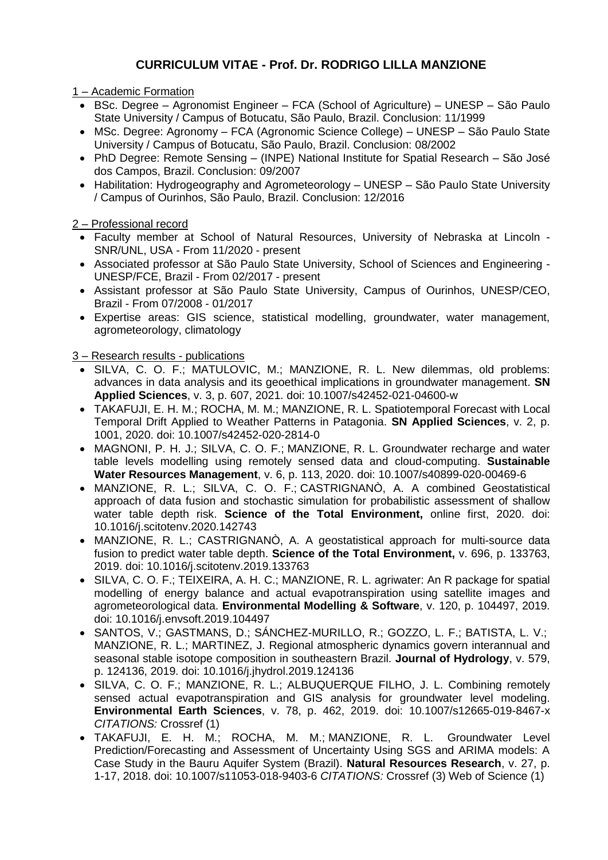## **CURRICULUM VITAE - Prof. Dr. RODRIGO LILLA MANZIONE**

1 – Academic Formation

- BSc. Degree Agronomist Engineer FCA (School of Agriculture) UNESP São Paulo State University / Campus of Botucatu, São Paulo, Brazil. Conclusion: 11/1999
- MSc. Degree: Agronomy FCA (Agronomic Science College) UNESP São Paulo State University / Campus of Botucatu, São Paulo, Brazil. Conclusion: 08/2002
- PhD Degree: Remote Sensing (INPE) National Institute for Spatial Research São José dos Campos, Brazil. Conclusion: 09/2007
- Habilitation: Hydrogeography and Agrometeorology UNESP São Paulo State University / Campus of Ourinhos, São Paulo, Brazil. Conclusion: 12/2016

2 – Professional record

- Faculty member at School of Natural Resources, University of Nebraska at Lincoln SNR/UNL, USA - From 11/2020 - present
- Associated professor at São Paulo State University, School of Sciences and Engineering UNESP/FCE, Brazil - From 02/2017 - present
- Assistant professor at São Paulo State University, Campus of Ourinhos, UNESP/CEO, Brazil - From 07/2008 - 01/2017
- Expertise areas: GIS science, statistical modelling, groundwater, water management, agrometeorology, climatology

3 – Research results - publications

- SILVA, C. O. F.; MATULOVIC, M.; [MANZIONE, R. L.](http://lattes.cnpq.br/5317975851024937) New dilemmas, old problems: advances in data analysis and its geoethical implications in groundwater management. **SN Applied Sciences**, v. 3, p. 607, 2021. doi: 10.1007/s42452-021-04600-w
- TAKAFUJI, E. H. M.; ROCHA, M. M.; MANZIONE, R. L. Spatiotemporal Forecast with Local Temporal Drift Applied to Weather Patterns in Patagonia. **SN Applied Sciences**, v. 2, p. 1001, 2020. doi: [10.1007/s42452-020-2814-0](https://doi.org/10.1007/s42452-020-2814-0)
- MAGNONI, P. H. J.; SILVA, C. O. F.; MANZIONE, R. L. Groundwater recharge and water table levels modelling using remotely sensed data and cloud-computing. **Sustainable Water Resources Management**, v. 6, p. 113, 2020. doi: [10.1007/s40899-020-00469-6](https://doi.org/10.1007/s40899-020-00469-6)
- MANZIONE, R. L.; SILVA, C. O. F.; CASTRIGNANÒ, A. A combined Geostatistical approach of data fusion and stochastic simulation for probabilistic assessment of shallow water table depth risk. **Science of the Total Environment,** online first, 2020. doi: [10.1016/j.scitotenv.2020.142743](https://doi.org/10.1016/j.scitotenv.2020.142743)
- MANZIONE, R. L.; CASTRIGNANÒ, A. A geostatistical approach for multi-source data fusion to predict water table depth. **Science of the Total Environment,** v. 696, p. 133763, 2019. doi: [10.1016/j.scitotenv.2019.133763](https://doi.org/10.1016/j.scitotenv.2019.133763)
- SILVA, C. O. F.; TEIXEIRA, A. H. C.; [MANZIONE, R. L.](http://lattes.cnpq.br/5317975851024937) agriwater: An R package for spatial modelling of energy balance and actual evapotranspiration using satellite images and agrometeorological data. **Environmental Modelling & Software**, v. 120, p. 104497, 2019. doi: 10.1016/j.envsoft.2019.104497
- SANTOS, V.; GASTMANS, D.; SÁNCHEZ-MURILLO, R.; GOZZO, L. F.; BATISTA, L. V.; MANZIONE, R. L.; MARTINEZ, J. Regional atmospheric dynamics govern interannual and seasonal stable isotope composition in southeastern Brazil. **Journal of Hydrology**, v. 579, p. 124136, 2019. doi: 10.1016/j.jhydrol.2019.124136
- SILVA, C. O. F.; [MANZIONE, R. L.;](http://lattes.cnpq.br/5317975851024937) ALBUQUERQUE FILHO, J. L. Combining remotely sensed actual evapotranspiration and GIS analysis for groundwater level modeling. **Environmental Earth Sciences**, v. 78, p. 462, 2019. doi: 10.1007/s12665-019-8467-x *CITATIONS:* Crossref (1)
- TAKAFUJI, E. H. M.; ROCHA, M. M.; MANZIONE, R. L. Groundwater Level Prediction/Forecasting and Assessment of Uncertainty Using SGS and ARIMA models: A Case Study in the Bauru Aquifer System (Brazil). **Natural Resources Research**, v. 27, p. 1-17, 2018. doi: 10.1007/s11053-018-9403-6 *CITATIONS:* Crossref (3) Web of Science (1)